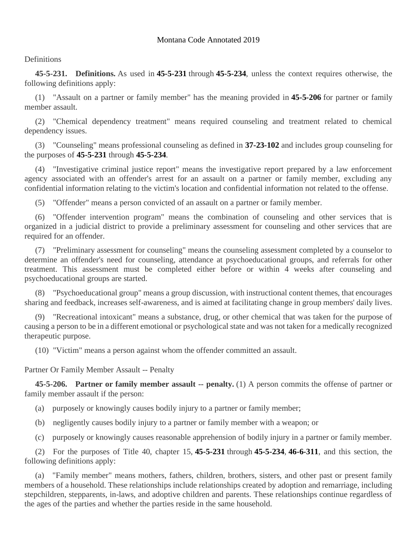## **Definitions**

**45-5-231. Definitions.** As used in **[45-5-231](https://leg.mt.gov/bills/mca/title_0450/chapter_0050/part_0020/section_0310/None)** through **[45-5-234](https://leg.mt.gov/bills/mca/title_0450/chapter_0050/part_0020/section_0340/0450-0050-0020-0340.html)**, unless the context requires otherwise, the following definitions apply:

(1) "Assault on a partner or family member" has the meaning provided in **[45-5-206](https://leg.mt.gov/bills/mca/title_0450/chapter_0050/part_0020/section_0060/0450-0050-0020-0060.html)** for partner or family member assault.

(2) "Chemical dependency treatment" means required counseling and treatment related to chemical dependency issues.

(3) "Counseling" means professional counseling as defined in **[37-23-102](https://leg.mt.gov/bills/mca/title_0370/chapter_0230/part_0010/section_0020/0370-0230-0010-0020.html)** and includes group counseling for the purposes of **[45-5-231](https://leg.mt.gov/bills/mca/title_0450/chapter_0050/part_0020/section_0310/None)** through **[45-5-234](https://leg.mt.gov/bills/mca/title_0450/chapter_0050/part_0020/section_0340/0450-0050-0020-0340.html)**.

(4) "Investigative criminal justice report" means the investigative report prepared by a law enforcement agency associated with an offender's arrest for an assault on a partner or family member, excluding any confidential information relating to the victim's location and confidential information not related to the offense.

(5) "Offender" means a person convicted of an assault on a partner or family member.

(6) "Offender intervention program" means the combination of counseling and other services that is organized in a judicial district to provide a preliminary assessment for counseling and other services that are required for an offender.

(7) "Preliminary assessment for counseling" means the counseling assessment completed by a counselor to determine an offender's need for counseling, attendance at psychoeducational groups, and referrals for other treatment. This assessment must be completed either before or within 4 weeks after counseling and psychoeducational groups are started.

(8) "Psychoeducational group" means a group discussion, with instructional content themes, that encourages sharing and feedback, increases self-awareness, and is aimed at facilitating change in group members' daily lives.

(9) "Recreational intoxicant" means a substance, drug, or other chemical that was taken for the purpose of causing a person to be in a different emotional or psychological state and was not taken for a medically recognized therapeutic purpose.

(10) "Victim" means a person against whom the offender committed an assault.

Partner Or Family Member Assault -- Penalty

**45-5-206. Partner or family member assault -- penalty.** (1) A person commits the offense of partner or family member assault if the person:

- (a) purposely or knowingly causes bodily injury to a partner or family member;
- (b) negligently causes bodily injury to a partner or family member with a weapon; or
- (c) purposely or knowingly causes reasonable apprehension of bodily injury in a partner or family member.

(2) For the purposes of Title 40, chapter 15, **[45-5-231](https://leg.mt.gov/bills/mca/title_0450/chapter_0050/part_0020/section_0310/0450-0050-0020-0310.html)** through **[45-5-234](https://leg.mt.gov/bills/mca/title_0450/chapter_0050/part_0020/section_0340/0450-0050-0020-0340.html)**, **[46-6-311](https://leg.mt.gov/bills/mca/title_0460/chapter_0060/part_0030/section_0110/0460-0060-0030-0110.html)**, and this section, the following definitions apply:

(a) "Family member" means mothers, fathers, children, brothers, sisters, and other past or present family members of a household. These relationships include relationships created by adoption and remarriage, including stepchildren, stepparents, in-laws, and adoptive children and parents. These relationships continue regardless of the ages of the parties and whether the parties reside in the same household.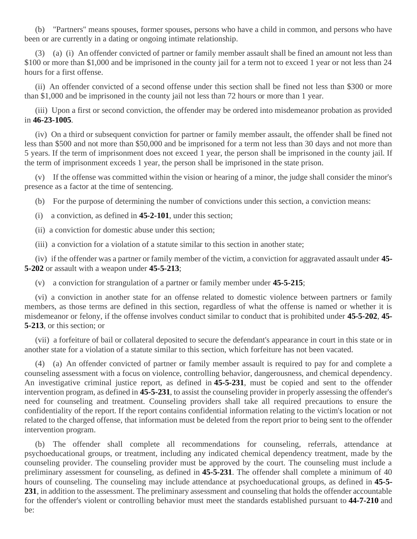(b) "Partners" means spouses, former spouses, persons who have a child in common, and persons who have been or are currently in a dating or ongoing intimate relationship.

(3) (a) (i) An offender convicted of partner or family member assault shall be fined an amount not less than \$100 or more than \$1,000 and be imprisoned in the county jail for a term not to exceed 1 year or not less than 24 hours for a first offense.

(ii) An offender convicted of a second offense under this section shall be fined not less than \$300 or more than \$1,000 and be imprisoned in the county jail not less than 72 hours or more than 1 year.

(iii) Upon a first or second conviction, the offender may be ordered into misdemeanor probation as provided in **[46-23-1005](https://leg.mt.gov/bills/mca/title_0460/chapter_0230/part_0100/section_0050/0460-0230-0100-0050.html)**.

(iv) On a third or subsequent conviction for partner or family member assault, the offender shall be fined not less than \$500 and not more than \$50,000 and be imprisoned for a term not less than 30 days and not more than 5 years. If the term of imprisonment does not exceed 1 year, the person shall be imprisoned in the county jail. If the term of imprisonment exceeds 1 year, the person shall be imprisoned in the state prison.

(v) If the offense was committed within the vision or hearing of a minor, the judge shall consider the minor's presence as a factor at the time of sentencing.

(b) For the purpose of determining the number of convictions under this section, a conviction means:

- (i) a conviction, as defined in **[45-2-101](https://leg.mt.gov/bills/mca/title_0450/chapter_0020/part_0010/section_0010/0450-0020-0010-0010.html)**, under this section;
- (ii) a conviction for domestic abuse under this section;

(iii) a conviction for a violation of a statute similar to this section in another state;

(iv) if the offender was a partner or family member of the victim, a conviction for aggravated assault under **[45-](https://leg.mt.gov/bills/mca/title_0450/chapter_0050/part_0020/section_0020/0450-0050-0020-0020.html) [5-202](https://leg.mt.gov/bills/mca/title_0450/chapter_0050/part_0020/section_0020/0450-0050-0020-0020.html)** or assault with a weapon under **[45-5-213](https://leg.mt.gov/bills/mca/title_0450/chapter_0050/part_0020/section_0130/0450-0050-0020-0130.html)**;

(v) a conviction for strangulation of a partner or family member under **[45-5-215](https://leg.mt.gov/bills/mca/title_0450/chapter_0050/part_0020/section_0150/0450-0050-0020-0150.html)**;

(vi) a conviction in another state for an offense related to domestic violence between partners or family members, as those terms are defined in this section, regardless of what the offense is named or whether it is misdemeanor or felony, if the offense involves conduct similar to conduct that is prohibited under **[45-5-202](https://leg.mt.gov/bills/mca/title_0450/chapter_0050/part_0020/section_0020/0450-0050-0020-0020.html)**, **[45-](https://leg.mt.gov/bills/mca/title_0450/chapter_0050/part_0020/section_0130/0450-0050-0020-0130.html) [5-213](https://leg.mt.gov/bills/mca/title_0450/chapter_0050/part_0020/section_0130/0450-0050-0020-0130.html)**, or this section; or

(vii) a forfeiture of bail or collateral deposited to secure the defendant's appearance in court in this state or in another state for a violation of a statute similar to this section, which forfeiture has not been vacated.

(4) (a) An offender convicted of partner or family member assault is required to pay for and complete a counseling assessment with a focus on violence, controlling behavior, dangerousness, and chemical dependency. An investigative criminal justice report, as defined in **[45-5-231](https://leg.mt.gov/bills/mca/title_0450/chapter_0050/part_0020/section_0310/0450-0050-0020-0310.html)**, must be copied and sent to the offender intervention program, as defined in **[45-5-231](https://leg.mt.gov/bills/mca/title_0450/chapter_0050/part_0020/section_0310/0450-0050-0020-0310.html)**, to assist the counseling provider in properly assessing the offender's need for counseling and treatment. Counseling providers shall take all required precautions to ensure the confidentiality of the report. If the report contains confidential information relating to the victim's location or not related to the charged offense, that information must be deleted from the report prior to being sent to the offender intervention program.

(b) The offender shall complete all recommendations for counseling, referrals, attendance at psychoeducational groups, or treatment, including any indicated chemical dependency treatment, made by the counseling provider. The counseling provider must be approved by the court. The counseling must include a preliminary assessment for counseling, as defined in **[45-5-231](https://leg.mt.gov/bills/mca/title_0450/chapter_0050/part_0020/section_0310/0450-0050-0020-0310.html)**. The offender shall complete a minimum of 40 hours of counseling. The counseling may include attendance at psychoeducational groups, as defined in **[45-5-](https://leg.mt.gov/bills/mca/title_0450/chapter_0050/part_0020/section_0310/0450-0050-0020-0310.html) [231](https://leg.mt.gov/bills/mca/title_0450/chapter_0050/part_0020/section_0310/0450-0050-0020-0310.html)**, in addition to the assessment. The preliminary assessment and counseling that holds the offender accountable for the offender's violent or controlling behavior must meet the standards established pursuant to **[44-7-210](https://leg.mt.gov/bills/mca/title_0440/chapter_0070/part_0020/section_0100/0440-0070-0020-0100.html)** and be: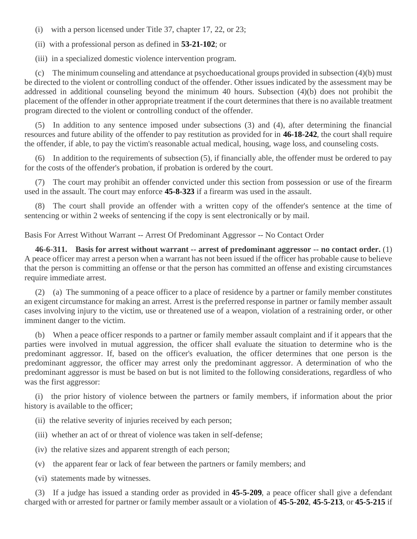(i) with a person licensed under Title 37, chapter 17, 22, or 23;

(ii) with a professional person as defined in **[53-21-102](https://leg.mt.gov/bills/mca/title_0530/chapter_0210/part_0010/section_0020/0530-0210-0010-0020.html)**; or

(iii) in a specialized domestic violence intervention program.

(c) The minimum counseling and attendance at psychoeducational groups provided in subsection (4)(b) must be directed to the violent or controlling conduct of the offender. Other issues indicated by the assessment may be addressed in additional counseling beyond the minimum 40 hours. Subsection (4)(b) does not prohibit the placement of the offender in other appropriate treatment if the court determines that there is no available treatment program directed to the violent or controlling conduct of the offender.

(5) In addition to any sentence imposed under subsections (3) and (4), after determining the financial resources and future ability of the offender to pay restitution as provided for in **[46-18-242](https://leg.mt.gov/bills/mca/title_0460/chapter_0180/part_0020/section_0420/0460-0180-0020-0420.html)**, the court shall require the offender, if able, to pay the victim's reasonable actual medical, housing, wage loss, and counseling costs.

(6) In addition to the requirements of subsection (5), if financially able, the offender must be ordered to pay for the costs of the offender's probation, if probation is ordered by the court.

(7) The court may prohibit an offender convicted under this section from possession or use of the firearm used in the assault. The court may enforce **[45-8-323](https://leg.mt.gov/bills/mca/title_0450/chapter_0080/part_0030/section_0230/0450-0080-0030-0230.html)** if a firearm was used in the assault.

(8) The court shall provide an offender with a written copy of the offender's sentence at the time of sentencing or within 2 weeks of sentencing if the copy is sent electronically or by mail.

Basis For Arrest Without Warrant -- Arrest Of Predominant Aggressor -- No Contact Order

**46-6-311. Basis for arrest without warrant -- arrest of predominant aggressor -- no contact order.** (1) A peace officer may arrest a person when a warrant has not been issued if the officer has probable cause to believe that the person is committing an offense or that the person has committed an offense and existing circumstances require immediate arrest.

(2) (a) The summoning of a peace officer to a place of residence by a partner or family member constitutes an exigent circumstance for making an arrest. Arrest is the preferred response in partner or family member assault cases involving injury to the victim, use or threatened use of a weapon, violation of a restraining order, or other imminent danger to the victim.

(b) When a peace officer responds to a partner or family member assault complaint and if it appears that the parties were involved in mutual aggression, the officer shall evaluate the situation to determine who is the predominant aggressor. If, based on the officer's evaluation, the officer determines that one person is the predominant aggressor, the officer may arrest only the predominant aggressor. A determination of who the predominant aggressor is must be based on but is not limited to the following considerations, regardless of who was the first aggressor:

(i) the prior history of violence between the partners or family members, if information about the prior history is available to the officer;

- (ii) the relative severity of injuries received by each person;
- (iii) whether an act of or threat of violence was taken in self-defense;
- (iv) the relative sizes and apparent strength of each person;
- (v) the apparent fear or lack of fear between the partners or family members; and
- (vi) statements made by witnesses.

(3) If a judge has issued a standing order as provided in **[45-5-209](https://leg.mt.gov/bills/mca/title_0450/chapter_0050/part_0020/section_0090/0450-0050-0020-0090.html)**, a peace officer shall give a defendant charged with or arrested for partner or family member assault or a violation of **[45-5-202](https://leg.mt.gov/bills/mca/title_0450/chapter_0050/part_0020/section_0020/0450-0050-0020-0020.html)**, **[45-5-213](https://leg.mt.gov/bills/mca/title_0450/chapter_0050/part_0020/section_0130/0450-0050-0020-0130.html)**, or **[45-5-215](https://leg.mt.gov/bills/mca/title_0450/chapter_0050/part_0020/section_0150/0450-0050-0020-0150.html)** if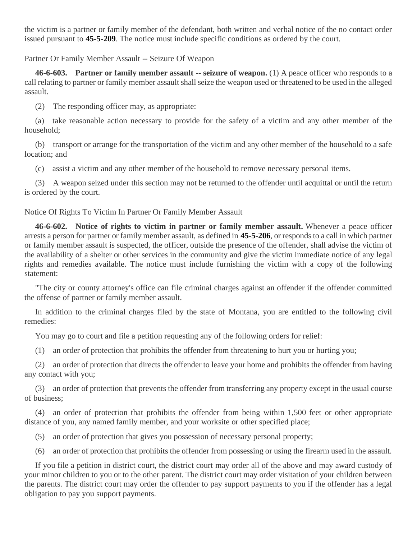the victim is a partner or family member of the defendant, both written and verbal notice of the no contact order issued pursuant to **[45-5-209](https://leg.mt.gov/bills/mca/title_0450/chapter_0050/part_0020/section_0090/0450-0050-0020-0090.html)**. The notice must include specific conditions as ordered by the court.

Partner Or Family Member Assault -- Seizure Of Weapon

**46-6-603. Partner or family member assault -- seizure of weapon.** (1) A peace officer who responds to a call relating to partner or family member assault shall seize the weapon used or threatened to be used in the alleged assault.

(2) The responding officer may, as appropriate:

(a) take reasonable action necessary to provide for the safety of a victim and any other member of the household;

(b) transport or arrange for the transportation of the victim and any other member of the household to a safe location; and

(c) assist a victim and any other member of the household to remove necessary personal items.

(3) A weapon seized under this section may not be returned to the offender until acquittal or until the return is ordered by the court.

Notice Of Rights To Victim In Partner Or Family Member Assault

**46-6-602. Notice of rights to victim in partner or family member assault.** Whenever a peace officer arrests a person for partner or family member assault, as defined in **[45-5-206](https://leg.mt.gov/bills/mca/title_0450/chapter_0050/part_0020/section_0060/0450-0050-0020-0060.html)**, or responds to a call in which partner or family member assault is suspected, the officer, outside the presence of the offender, shall advise the victim of the availability of a shelter or other services in the community and give the victim immediate notice of any legal rights and remedies available. The notice must include furnishing the victim with a copy of the following statement:

"The city or county attorney's office can file criminal charges against an offender if the offender committed the offense of partner or family member assault.

In addition to the criminal charges filed by the state of Montana, you are entitled to the following civil remedies:

You may go to court and file a petition requesting any of the following orders for relief:

(1) an order of protection that prohibits the offender from threatening to hurt you or hurting you;

(2) an order of protection that directs the offender to leave your home and prohibits the offender from having any contact with you;

(3) an order of protection that prevents the offender from transferring any property except in the usual course of business;

(4) an order of protection that prohibits the offender from being within 1,500 feet or other appropriate distance of you, any named family member, and your worksite or other specified place;

(5) an order of protection that gives you possession of necessary personal property;

(6) an order of protection that prohibits the offender from possessing or using the firearm used in the assault.

If you file a petition in district court, the district court may order all of the above and may award custody of your minor children to you or to the other parent. The district court may order visitation of your children between the parents. The district court may order the offender to pay support payments to you if the offender has a legal obligation to pay you support payments.